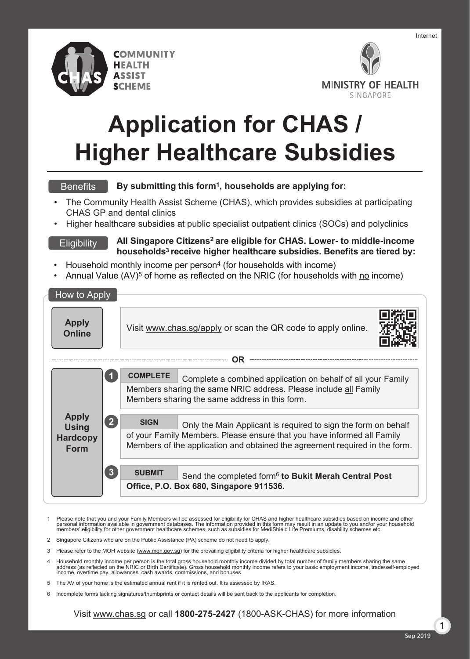

ASSIST



# **Application for CHAS / Higher Healthcare Subsidies**

#### **Benefits**

**Eligibility** 

**By submitting this form1, households are applying for:**

- The Community Health Assist Scheme (CHAS), which provides subsidies at participating CHAS GP and dental clinics
- Higher healthcare subsidies at public specialist outpatient clinics (SOCs) and polyclinics

**All Singapore Citizens2 are eligible for CHAS. Lower- to middle-income households3 receive higher healthcare subsidies. Benefits are tiered by:**

- Household monthly income per person<sup>4</sup> (for households with income)
- Annual Value  $(AV)^5$  of home as reflected on the NRIC (for households with no income)

| How to Apply                                                   |         |                                                                                                                                                                                                       |                                                                                                                                                                                                                          |  |  |  |  |  |
|----------------------------------------------------------------|---------|-------------------------------------------------------------------------------------------------------------------------------------------------------------------------------------------------------|--------------------------------------------------------------------------------------------------------------------------------------------------------------------------------------------------------------------------|--|--|--|--|--|
| <b>Apply</b><br><b>Online</b>                                  |         |                                                                                                                                                                                                       | Visit www.chas.sg/apply or scan the QR code to apply online.                                                                                                                                                             |  |  |  |  |  |
| OR.                                                            |         |                                                                                                                                                                                                       |                                                                                                                                                                                                                          |  |  |  |  |  |
|                                                                |         | <b>COMPLETE</b><br>Complete a combined application on behalf of all your Family<br>Members sharing the same NRIC address. Please include all Family<br>Members sharing the same address in this form. |                                                                                                                                                                                                                          |  |  |  |  |  |
| <b>Apply</b><br><b>Using</b><br><b>Hardcopy</b><br><b>Form</b> | $2^{1}$ | <b>SIGN</b>                                                                                                                                                                                           | Only the Main Applicant is required to sign the form on behalf<br>of your Family Members. Please ensure that you have informed all Family<br>Members of the application and obtained the agreement required in the form. |  |  |  |  |  |
|                                                                | 3       | <b>SUBMIT</b>                                                                                                                                                                                         | Send the completed form <sup>6</sup> to Bukit Merah Central Post<br>Office, P.O. Box 680, Singapore 911536.                                                                                                              |  |  |  |  |  |

- 1 Please note that you and your Family Members will be assessed for eligibility for CHAS and higher healthcare subsidies based on income and other personal information available in government databases. The information provided in this form may result in an update to you and/or your household<br>members' eligibility for other government healthcare schemes, such as subsi
- 2 Singapore Citizens who are on the Public Assistance (PA) scheme do not need to apply.
- 3 Please refer to the MOH website (www.moh.gov.sg) for the prevailing eligibility criteria for higher healthcare subsidies.
- Household monthly income per person is the total gross household monthly income divided by total number of family members sharing the same<br>address (as reflected on the NRIC or Birth Certificate). Gross household monthly in income, overtime pay, allowances, cash awards, commissions, and bonuses.
- 5 The AV of your home is the estimated annual rent if it is rented out. It is assessed by IRAS.
- 6 Incomplete forms lacking signatures/thumbprints or contact details will be sent back to the applicants for completion.

Visit www.chas.sg or call **1800-275-2427** (1800-ASK-CHAS) for more information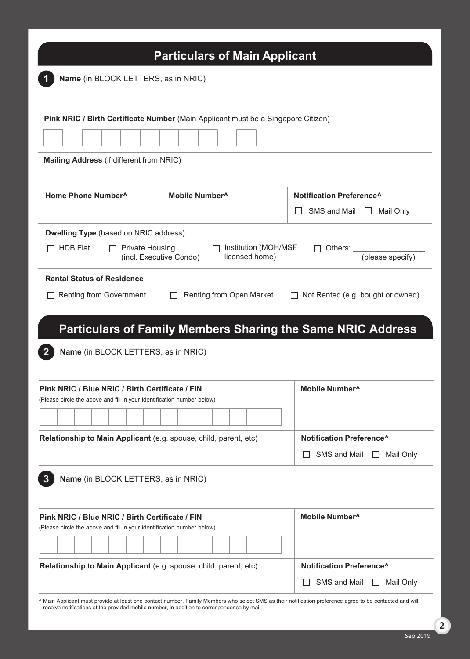| Name (in BLOCK LETTERS, as in NRIC)<br>Pink NRIC / Birth Certificate Number (Main Applicant must be a Singapore Citizen)<br>Mailing Address (if different from NRIC)<br>Home Phone Number <sup>^</sup><br>Mobile Number <sup>^</sup><br><b>Dwelling Type (based on NRIC address)</b><br>Institution (MOH/MSF<br><b>Private Housing</b><br>HDB Flat<br>licensed home)<br>(incl. Executive Condo) | Notification Preference <sup>^</sup><br>SMS and Mail $\Box$<br>Mail Only<br>Others: |  |
|-------------------------------------------------------------------------------------------------------------------------------------------------------------------------------------------------------------------------------------------------------------------------------------------------------------------------------------------------------------------------------------------------|-------------------------------------------------------------------------------------|--|
|                                                                                                                                                                                                                                                                                                                                                                                                 |                                                                                     |  |
|                                                                                                                                                                                                                                                                                                                                                                                                 |                                                                                     |  |
|                                                                                                                                                                                                                                                                                                                                                                                                 |                                                                                     |  |
|                                                                                                                                                                                                                                                                                                                                                                                                 |                                                                                     |  |
|                                                                                                                                                                                                                                                                                                                                                                                                 |                                                                                     |  |
|                                                                                                                                                                                                                                                                                                                                                                                                 |                                                                                     |  |
|                                                                                                                                                                                                                                                                                                                                                                                                 |                                                                                     |  |
|                                                                                                                                                                                                                                                                                                                                                                                                 |                                                                                     |  |
|                                                                                                                                                                                                                                                                                                                                                                                                 |                                                                                     |  |
|                                                                                                                                                                                                                                                                                                                                                                                                 |                                                                                     |  |
|                                                                                                                                                                                                                                                                                                                                                                                                 | (please specify)                                                                    |  |
| <b>Rental Status of Residence</b>                                                                                                                                                                                                                                                                                                                                                               |                                                                                     |  |
| Renting from Open Market<br><b>Renting from Government</b><br>$\mathbf{L}$                                                                                                                                                                                                                                                                                                                      | Not Rented (e.g. bought or owned)                                                   |  |
|                                                                                                                                                                                                                                                                                                                                                                                                 |                                                                                     |  |
|                                                                                                                                                                                                                                                                                                                                                                                                 |                                                                                     |  |
| <b>Particulars of Family Members Sharing the Same NRIC Address</b>                                                                                                                                                                                                                                                                                                                              |                                                                                     |  |
|                                                                                                                                                                                                                                                                                                                                                                                                 |                                                                                     |  |
| Name (in BLOCK LETTERS, as in NRIC)                                                                                                                                                                                                                                                                                                                                                             |                                                                                     |  |
|                                                                                                                                                                                                                                                                                                                                                                                                 |                                                                                     |  |
| Pink NRIC / Blue NRIC / Birth Certificate / FIN                                                                                                                                                                                                                                                                                                                                                 | Mobile Number <sup>^</sup>                                                          |  |
| (Please circle the above and fill in your identification number below)                                                                                                                                                                                                                                                                                                                          |                                                                                     |  |
|                                                                                                                                                                                                                                                                                                                                                                                                 |                                                                                     |  |
| Relationship to Main Applicant (e.g. spouse, child, parent, etc)                                                                                                                                                                                                                                                                                                                                | Notification Preference^                                                            |  |
|                                                                                                                                                                                                                                                                                                                                                                                                 | SMS and Mail<br>Mail Only<br>H                                                      |  |
|                                                                                                                                                                                                                                                                                                                                                                                                 |                                                                                     |  |
|                                                                                                                                                                                                                                                                                                                                                                                                 |                                                                                     |  |
| Name (in BLOCK LETTERS, as in NRIC)                                                                                                                                                                                                                                                                                                                                                             |                                                                                     |  |
|                                                                                                                                                                                                                                                                                                                                                                                                 |                                                                                     |  |
|                                                                                                                                                                                                                                                                                                                                                                                                 | Mobile Number <sup>^</sup>                                                          |  |
|                                                                                                                                                                                                                                                                                                                                                                                                 |                                                                                     |  |
|                                                                                                                                                                                                                                                                                                                                                                                                 |                                                                                     |  |
| Relationship to Main Applicant (e.g. spouse, child, parent, etc)                                                                                                                                                                                                                                                                                                                                | Notification Preference^                                                            |  |
| 3<br>Pink NRIC / Blue NRIC / Birth Certificate / FIN<br>(Please circle the above and fill in your identification number below)                                                                                                                                                                                                                                                                  |                                                                                     |  |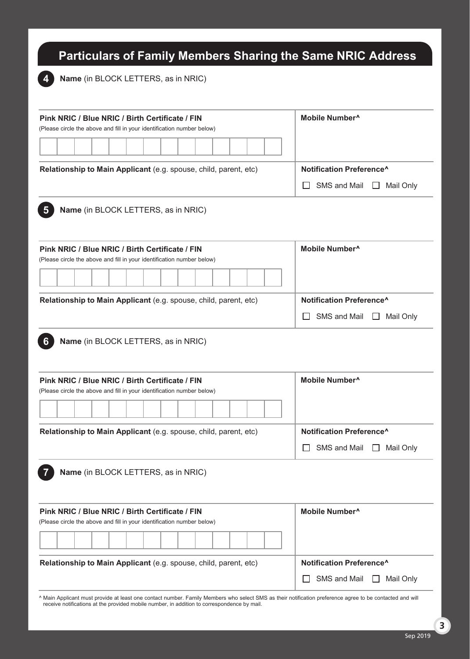# **Particulars of Family Members Sharing the Same NRIC Address**

**Name** (in BLOCK LETTERS, as in NRIC) **4**

| Pink NRIC / Blue NRIC / Birth Certificate / FIN<br>(Please circle the above and fill in your identification number below) | Mobile Number <sup>^</sup>                           |  |
|---------------------------------------------------------------------------------------------------------------------------|------------------------------------------------------|--|
|                                                                                                                           |                                                      |  |
| Relationship to Main Applicant (e.g. spouse, child, parent, etc)                                                          | Notification Preference <sup>^</sup>                 |  |
|                                                                                                                           | SMS and Mail<br>Mail Only<br>$\mathsf{L}$<br>$\perp$ |  |
| Name (in BLOCK LETTERS, as in NRIC)<br>$\overline{\mathbf{5}}$                                                            |                                                      |  |
| Pink NRIC / Blue NRIC / Birth Certificate / FIN<br>(Please circle the above and fill in your identification number below) | Mobile Number <sup>^</sup>                           |  |
|                                                                                                                           |                                                      |  |
| Relationship to Main Applicant (e.g. spouse, child, parent, etc)                                                          | Notification Preference^                             |  |
|                                                                                                                           | SMS and Mail<br>Mail Only<br>$\mathsf{L}$<br>$\perp$ |  |
| Name (in BLOCK LETTERS, as in NRIC)<br>6                                                                                  |                                                      |  |
| Pink NRIC / Blue NRIC / Birth Certificate / FIN<br>(Please circle the above and fill in your identification number below) | Mobile Number <sup>^</sup>                           |  |
|                                                                                                                           |                                                      |  |
| Relationship to Main Applicant (e.g. spouse, child, parent, etc)                                                          | Notification Preference <sup>^</sup>                 |  |
|                                                                                                                           | SMS and Mail<br>$\Box$ Mail Only                     |  |
| Name (in BLOCK LETTERS, as in NRIC)                                                                                       |                                                      |  |
| Pink NRIC / Blue NRIC / Birth Certificate / FIN<br>(Please circle the above and fill in your identification number below) | Mobile Number <sup>^</sup>                           |  |
|                                                                                                                           |                                                      |  |
| Relationship to Main Applicant (e.g. spouse, child, parent, etc)                                                          | Notification Preference^                             |  |

^ Main Applicant must provide at least one contact number. Family Members who select SMS as their notification preference agree to be contacted and will receive notifications at the provided mobile number, in addition to correspondence by mail.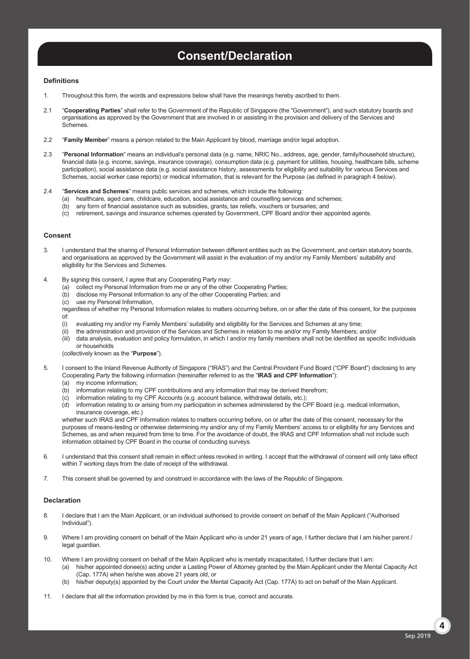# **Consent/Declaration**

#### **Definitions**

- 1. Throughout this form, the words and expressions below shall have the meanings hereby ascribed to them.
- 2.1 "**Cooperating Parties**" shall refer to the Government of the Republic of Singapore (the "Government"), and such statutory boards and organisations as approved by the Government that are involved in or assisting in the provision and delivery of the Services and Schemes.
- 2.2 "**Family Member**" means a person related to the Main Applicant by blood, marriage and/or legal adoption.
- 2.3 "**Personal Information**" means an individual's personal data (e.g. name, NRIC No., address, age, gender, family/household structure), financial data (e.g. income, savings, insurance coverage), consumption data (e.g. payment for utilities, housing, healthcare bills, scheme participation), social assistance data (e.g. social assistance history, assessments for eligibility and suitability for various Services and Schemes, social worker case reports) or medical information, that is relevant for the Purpose (as defined in paragraph 4 below).

#### 2.4 "**Services and Schemes**" means public services and schemes, which include the following:

- (a) healthcare, aged care, childcare, education, social assistance and counselling services and schemes;
- (b) any form of financial assistance such as subsidies, grants, tax reliefs, vouchers or bursaries; and
- (c) retirement, savings and insurance schemes operated by Government, CPF Board and/or their appointed agents.

#### **Consent**

- 3. I understand that the sharing of Personal Information between different entities such as the Government, and certain statutory boards, and organisations as approved by the Government will assist in the evaluation of my and/or my Family Members' suitability and eligibility for the Services and Schemes.
- 4. By signing this consent, I agree that any Cooperating Party may:
	- (a) collect my Personal Information from me or any of the other Cooperating Parties;
	- (b) disclose my Personal Information to any of the other Cooperating Parties; and
	- (c) use my Personal Information,

 regardless of whether my Personal Information relates to matters occurring before, on or after the date of this consent, for the purposes of:

- (i) evaluating my and/or my Family Members' suitability and eligibility for the Services and Schemes at any time;
- (ii) the administration and provision of the Services and Schemes in relation to me and/or my Family Members; and/or
- (iii) data analysis, evaluation and policy formulation, in which I and/or my family members shall not be identified as specific individuals or households

(collectively known as the "**Purpose**").

- 5. I consent to the Inland Revenue Authority of Singapore ("IRAS") and the Central Provident Fund Board ("CPF Board") disclosing to any Cooperating Party the following information (hereinafter referred to as the "**IRAS and CPF Information**"):
	- (a) my income information;
	- (b) information relating to my CPF contributions and any information that may be derived therefrom;<br>(c) information relating to my CPF Accounts (e.g. account balance, withdrawal details, etc.);
	- information relating to my CPF Accounts (e.g. account balance, withdrawal details, etc.);
	- (d) information relating to or arising from my participation in schemes administered by the CPF Board (e.g. medical information, insurance coverage, etc.)

whether such IRAS and CPF Information relates to matters occurring before, on or after the date of this consent, necessary for the purposes of means-testing or otherwise determining my and/or any of my Family Members' access to or eligibility for any Services and Schemes, as and when required from time to time. For the avoidance of doubt, the IRAS and CPF Information shall not include such information obtained by CPF Board in the course of conducting surveys.

- 6. I understand that this consent shall remain in effect unless revoked in writing. I accept that the withdrawal of consent will only take effect within 7 working days from the date of receipt of the withdrawal.
- 7. This consent shall be governed by and construed in accordance with the laws of the Republic of Singapore.

#### **Declaration**

- 8. I declare that I am the Main Applicant, or an individual authorised to provide consent on behalf of the Main Applicant ("Authorised Individual").
- 9. Where I am providing consent on behalf of the Main Applicant who is under 21 years of age, I further declare that I am his/her parent / legal guardian.
- 10. Where I am providing consent on behalf of the Main Applicant who is mentally incapacitated, I further declare that I am:
	- (a) his/her appointed donee(s) acting under a Lasting Power of Attorney granted by the Main Applicant under the Mental Capacity Act (Cap. 177A) when he/she was above 21 years old, or
	- (b) his/her deputy(s) appointed by the Court under the Mental Capacity Act (Cap. 177A) to act on behalf of the Main Applicant.
- 11. I declare that all the information provided by me in this form is true, correct and accurate.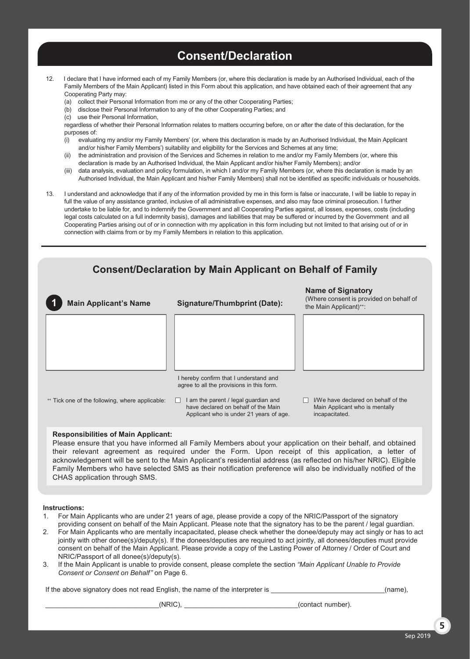# **Consent/Declaration**

- 12. I declare that I have informed each of my Family Members (or, where this declaration is made by an Authorised Individual, each of the Family Members of the Main Applicant) listed in this Form about this application, and have obtained each of their agreement that any Cooperating Party may:
	- (a) collect their Personal Information from me or any of the other Cooperating Parties;
	- (b) disclose their Personal Information to any of the other Cooperating Parties; and
	- (c) use their Personal Information,

 regardless of whether their Personal Information relates to matters occurring before, on or after the date of this declaration, for the purposes of:

- (i) evaluating my and/or my Family Members' (or, where this declaration is made by an Authorised Individual, the Main Applicant and/or his/her Family Members') suitability and eligibility for the Services and Schemes at any time;
- the administration and provision of the Services and Schemes in relation to me and/or my Family Members (or, where this declaration is made by an Authorised Individual, the Main Applicant and/or his/her Family Members); and/or
- data analysis, evaluation and policy formulation, in which I and/or my Family Members (or, where this declaration is made by an Authorised Individual, the Main Applicant and his/her Family Members) shall not be identified as specific individuals or households.
- 13. I understand and acknowledge that if any of the information provided by me in this form is false or inaccurate, I will be liable to repay in full the value of any assistance granted, inclusive of all administrative expenses, and also may face criminal prosecution. I further undertake to be liable for, and to indemnify the Government and all Cooperating Parties against, all losses, expenses, costs (including legal costs calculated on a full indemnity basis), damages and liabilities that may be suffered or incurred by the Government and all Cooperating Parties arising out of or in connection with my application in this form including but not limited to that arising out of or in connection with claims from or by my Family Members in relation to this application.



Please ensure that you have informed all Family Members about your application on their behalf, and obtained their relevant agreement as required under the Form. Upon receipt of this application, a letter of acknowledgement will be sent to the Main Applicant's residential address (as reflected on his/her NRIC). Eligible Family Members who have selected SMS as their notification preference will also be individually notified of the CHAS application through SMS.

#### **Instructions:**

- 1. For Main Applicants who are under 21 years of age, please provide a copy of the NRIC/Passport of the signatory providing consent on behalf of the Main Applicant. Please note that the signatory has to be the parent / legal guardian.
- 2. For Main Applicants who are mentally incapacitated, please check whether the donee/deputy may act singly or has to act jointly with other donee(s)/deputy(s). If the donees/deputies are required to act jointly, all donees/deputies must provide consent on behalf of the Main Applicant. Please provide a copy of the Lasting Power of Attorney / Order of Court and NRIC/Passport of all donee(s)/deputy(s).
- 3. If the Main Applicant is unable to provide consent, please complete the section *"Main Applicant Unable to Provide Consent or Consent on Behalf"* on Page 6.

If the above signatory does not read English, the name of the interpreter is  $(name)$ ,

\_\_\_\_\_\_\_\_\_\_\_\_\_\_\_\_\_\_\_\_\_\_\_\_\_\_\_\_\_\_(NRIC), \_\_\_\_\_\_\_\_\_\_\_\_\_\_\_\_\_\_\_\_\_\_\_\_\_\_\_\_\_\_(contact number).